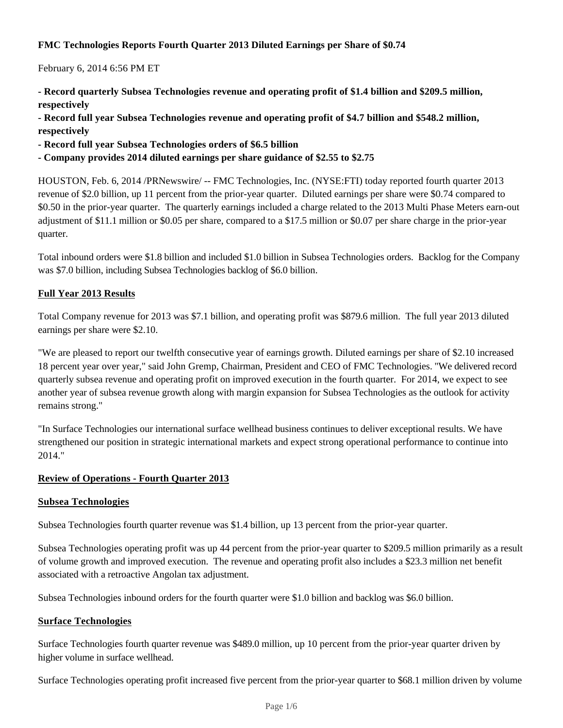### **FMC Technologies Reports Fourth Quarter 2013 Diluted Earnings per Share of \$0.74**

February 6, 2014 6:56 PM ET

- **Record quarterly Subsea Technologies revenue and operating profit of \$1.4 billion and \$209.5 million, respectively**
- **Record full year Subsea Technologies revenue and operating profit of \$4.7 billion and \$548.2 million, respectively**
- **Record full year Subsea Technologies orders of \$6.5 billion**
- **Company provides 2014 diluted earnings per share guidance of \$2.55 to \$2.75**

HOUSTON, Feb. 6, 2014 /PRNewswire/ -- FMC Technologies, Inc. (NYSE:FTI) today reported fourth quarter 2013 revenue of \$2.0 billion, up 11 percent from the prior-year quarter. Diluted earnings per share were \$0.74 compared to \$0.50 in the prior-year quarter. The quarterly earnings included a charge related to the 2013 Multi Phase Meters earn-out adjustment of \$11.1 million or \$0.05 per share, compared to a \$17.5 million or \$0.07 per share charge in the prior-year quarter.

Total inbound orders were \$1.8 billion and included \$1.0 billion in Subsea Technologies orders. Backlog for the Company was \$7.0 billion, including Subsea Technologies backlog of \$6.0 billion.

### **Full Year 2013 Results**

Total Company revenue for 2013 was \$7.1 billion, and operating profit was \$879.6 million. The full year 2013 diluted earnings per share were \$2.10.

"We are pleased to report our twelfth consecutive year of earnings growth. Diluted earnings per share of \$2.10 increased 18 percent year over year," said John Gremp, Chairman, President and CEO of FMC Technologies. "We delivered record quarterly subsea revenue and operating profit on improved execution in the fourth quarter. For 2014, we expect to see another year of subsea revenue growth along with margin expansion for Subsea Technologies as the outlook for activity remains strong."

"In Surface Technologies our international surface wellhead business continues to deliver exceptional results. We have strengthened our position in strategic international markets and expect strong operational performance to continue into 2014."

### **Review of Operations - Fourth Quarter 2013**

### **Subsea Technologies**

Subsea Technologies fourth quarter revenue was \$1.4 billion, up 13 percent from the prior-year quarter.

Subsea Technologies operating profit was up 44 percent from the prior-year quarter to \$209.5 million primarily as a result of volume growth and improved execution. The revenue and operating profit also includes a \$23.3 million net benefit associated with a retroactive Angolan tax adjustment.

Subsea Technologies inbound orders for the fourth quarter were \$1.0 billion and backlog was \$6.0 billion.

### **Surface Technologies**

Surface Technologies fourth quarter revenue was \$489.0 million, up 10 percent from the prior-year quarter driven by higher volume in surface wellhead.

Surface Technologies operating profit increased five percent from the prior-year quarter to \$68.1 million driven by volume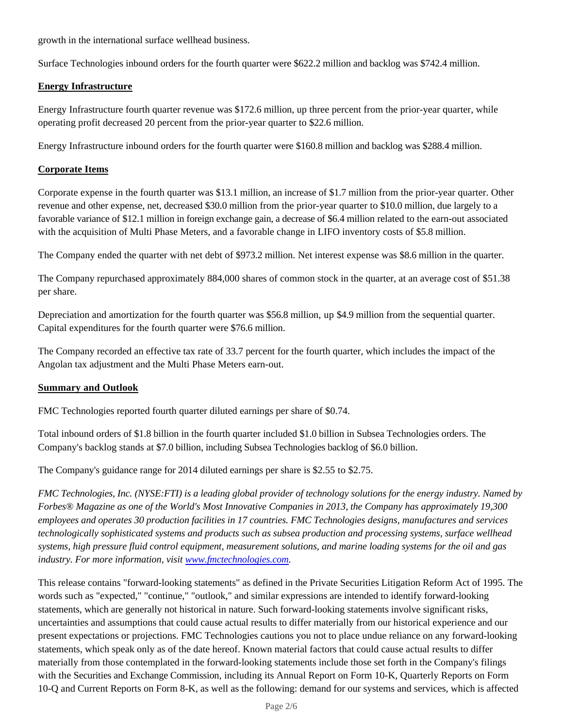growth in the international surface wellhead business.

Surface Technologies inbound orders for the fourth quarter were \$622.2 million and backlog was \$742.4 million.

### **Energy Infrastructure**

Energy Infrastructure fourth quarter revenue was \$172.6 million, up three percent from the prior-year quarter, while operating profit decreased 20 percent from the prior-year quarter to \$22.6 million.

Energy Infrastructure inbound orders for the fourth quarter were \$160.8 million and backlog was \$288.4 million.

### **Corporate Items**

Corporate expense in the fourth quarter was \$13.1 million, an increase of \$1.7 million from the prior-year quarter. Other revenue and other expense, net, decreased \$30.0 million from the prior-year quarter to \$10.0 million, due largely to a favorable variance of \$12.1 million in foreign exchange gain, a decrease of \$6.4 million related to the earn-out associated with the acquisition of Multi Phase Meters, and a favorable change in LIFO inventory costs of \$5.8 million.

The Company ended the quarter with net debt of \$973.2 million. Net interest expense was \$8.6 million in the quarter.

The Company repurchased approximately 884,000 shares of common stock in the quarter, at an average cost of \$51.38 per share.

Depreciation and amortization for the fourth quarter was \$56.8 million, up \$4.9 million from the sequential quarter. Capital expenditures for the fourth quarter were \$76.6 million.

The Company recorded an effective tax rate of 33.7 percent for the fourth quarter, which includes the impact of the Angolan tax adjustment and the Multi Phase Meters earn-out.

### **Summary and Outlook**

FMC Technologies reported fourth quarter diluted earnings per share of \$0.74.

Total inbound orders of \$1.8 billion in the fourth quarter included \$1.0 billion in Subsea Technologies orders. The Company's backlog stands at \$7.0 billion, including Subsea Technologies backlog of \$6.0 billion.

The Company's guidance range for 2014 diluted earnings per share is \$2.55 to \$2.75.

*FMC Technologies, Inc. (NYSE:FTI) is a leading global provider of technology solutions for the energy industry. Named by Forbes® Magazine as one of the World's Most Innovative Companies in 2013, the Company has approximately 19,300 employees and operates 30 production facilities in 17 countries. FMC Technologies designs, manufactures and services technologically sophisticated systems and products such as subsea production and processing systems, surface wellhead systems, high pressure fluid control equipment, measurement solutions, and marine loading systems for the oil and gas industry. For more information, visit www.fmctechnologies.com.*

This release contains "forward-looking statements" as defined in the Private Securities Litigation Reform Act of 1995. The words such as "expected," "continue," "outlook," and similar expressions are intended to identify forward-looking statements, which are generally not historical in nature. Such forward-looking statements involve significant risks, uncertainties and assumptions that could cause actual results to differ materially from our historical experience and our present expectations or projections. FMC Technologies cautions you not to place undue reliance on any forward-looking statements, which speak only as of the date hereof. Known material factors that could cause actual results to differ materially from those contemplated in the forward-looking statements include those set forth in the Company's filings with the Securities and Exchange Commission, including its Annual Report on Form 10-K, Quarterly Reports on Form 10-Q and Current Reports on Form 8-K, as well as the following: demand for our systems and services, which is affected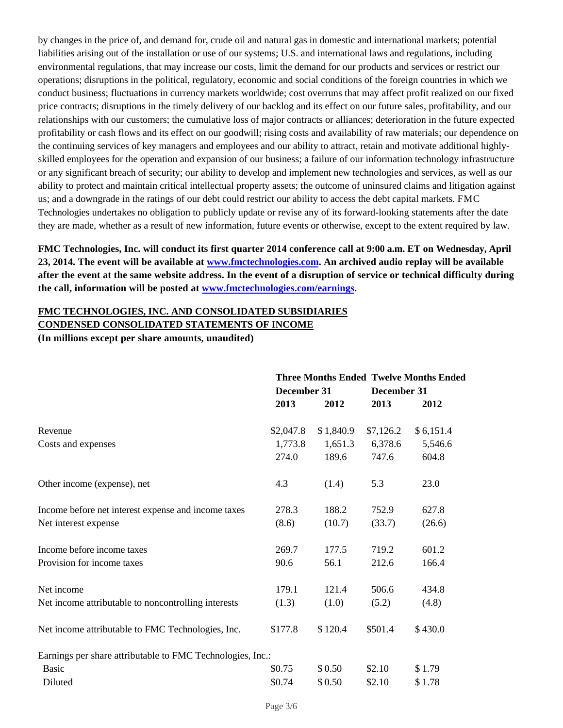by changes in the price of, and demand for, crude oil and natural gas in domestic and international markets; potential liabilities arising out of the installation or use of our systems; U.S. and international laws and regulations, including environmental regulations, that may increase our costs, limit the demand for our products and services or restrict our operations; disruptions in the political, regulatory, economic and social conditions of the foreign countries in which we conduct business; fluctuations in currency markets worldwide; cost overruns that may affect profit realized on our fixed price contracts; disruptions in the timely delivery of our backlog and its effect on our future sales, profitability, and our relationships with our customers; the cumulative loss of major contracts or alliances; deterioration in the future expected profitability or cash flows and its effect on our goodwill; rising costs and availability of raw materials; our dependence on the continuing services of key managers and employees and our ability to attract, retain and motivate additional highlyskilled employees for the operation and expansion of our business; a failure of our information technology infrastructure or any significant breach of security; our ability to develop and implement new technologies and services, as well as our ability to protect and maintain critical intellectual property assets; the outcome of uninsured claims and litigation against us; and a downgrade in the ratings of our debt could restrict our ability to access the debt capital markets. FMC Technologies undertakes no obligation to publicly update or revise any of its forward-looking statements after the date they are made, whether as a result of new information, future events or otherwise, except to the extent required by law.

**FMC Technologies, Inc. will conduct its first quarter 2014 conference call at 9:00 a.m. ET on Wednesday, April 23, 2014. The event will be available at www.fmctechnologies.com. An archived audio replay will be available after the event at the same website address. In the event of a disruption of service or technical difficulty during the call, information will be posted at www.fmctechnologies.com/earnings.**

# **FMC TECHNOLOGIES, INC. AND CONSOLIDATED SUBSIDIARIES**

### **CONDENSED CONSOLIDATED STATEMENTS OF INCOME**

**(In millions except per share amounts, unaudited)**

|                                                            | <b>Three Months Ended Twelve Months Ended</b> |           |           |             |  |
|------------------------------------------------------------|-----------------------------------------------|-----------|-----------|-------------|--|
|                                                            | December 31                                   |           |           | December 31 |  |
|                                                            | 2013                                          | 2012      | 2013      | 2012        |  |
| Revenue                                                    | \$2,047.8                                     | \$1,840.9 | \$7,126.2 | \$6,151.4   |  |
| Costs and expenses                                         | 1,773.8                                       | 1,651.3   | 6,378.6   | 5,546.6     |  |
|                                                            | 274.0                                         | 189.6     | 747.6     | 604.8       |  |
| Other income (expense), net                                | 4.3                                           | (1.4)     | 5.3       | 23.0        |  |
| Income before net interest expense and income taxes        | 278.3                                         | 188.2     | 752.9     | 627.8       |  |
| Net interest expense                                       | (8.6)                                         | (10.7)    | (33.7)    | (26.6)      |  |
| Income before income taxes                                 | 269.7                                         | 177.5     | 719.2     | 601.2       |  |
| Provision for income taxes                                 | 90.6                                          | 56.1      | 212.6     | 166.4       |  |
| Net income                                                 | 179.1                                         | 121.4     | 506.6     | 434.8       |  |
| Net income attributable to noncontrolling interests        | (1.3)                                         | (1.0)     | (5.2)     | (4.8)       |  |
| Net income attributable to FMC Technologies, Inc.          | \$177.8                                       | \$120.4   | \$501.4   | \$430.0     |  |
| Earnings per share attributable to FMC Technologies, Inc.: |                                               |           |           |             |  |
| <b>Basic</b>                                               | \$0.75                                        | \$0.50    | \$2.10    | \$1.79      |  |
| Diluted                                                    | \$0.74                                        | \$0.50    | \$2.10    | \$1.78      |  |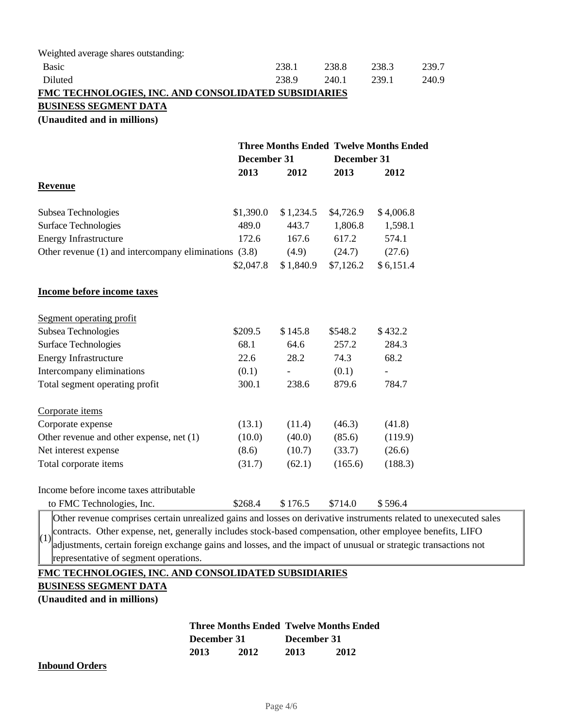| Weighted average shares outstanding:                      |                                                                             |           |           |           |       |
|-----------------------------------------------------------|-----------------------------------------------------------------------------|-----------|-----------|-----------|-------|
| <b>Basic</b>                                              |                                                                             | 238.1     | 238.8     | 238.3     | 239.7 |
| Diluted                                                   |                                                                             | 238.9     | 240.1     | 239.1     | 240.9 |
| FMC TECHNOLOGIES, INC. AND CONSOLIDATED SUBSIDIARIES      |                                                                             |           |           |           |       |
| <b>BUSINESS SEGMENT DATA</b>                              |                                                                             |           |           |           |       |
| (Unaudited and in millions)                               |                                                                             |           |           |           |       |
|                                                           |                                                                             |           |           |           |       |
|                                                           | <b>Three Months Ended Twelve Months Ended</b><br>December 31<br>December 31 |           |           |           |       |
|                                                           | 2013                                                                        | 2012      | 2013      | 2012      |       |
| <b>Revenue</b>                                            |                                                                             |           |           |           |       |
| Subsea Technologies                                       | \$1,390.0                                                                   | \$1,234.5 | \$4,726.9 | \$4,006.8 |       |
| <b>Surface Technologies</b>                               | 489.0                                                                       | 443.7     | 1,806.8   | 1,598.1   |       |
| Energy Infrastructure                                     | 172.6                                                                       | 167.6     | 617.2     | 574.1     |       |
| Other revenue $(1)$ and intercompany eliminations $(3.8)$ |                                                                             | (4.9)     | (24.7)    | (27.6)    |       |
|                                                           | \$2,047.8                                                                   | \$1,840.9 | \$7,126.2 | \$6,151.4 |       |
| Income before income taxes                                |                                                                             |           |           |           |       |
| Segment operating profit                                  |                                                                             |           |           |           |       |
| Subsea Technologies                                       | \$209.5                                                                     | \$145.8   | \$548.2   | \$432.2   |       |
| <b>Surface Technologies</b>                               | 68.1                                                                        | 64.6      | 257.2     | 284.3     |       |
| <b>Energy Infrastructure</b>                              | 22.6                                                                        | 28.2      | 74.3      | 68.2      |       |
| Intercompany eliminations                                 | (0.1)                                                                       |           | (0.1)     |           |       |
| Total segment operating profit                            | 300.1                                                                       | 238.6     | 879.6     | 784.7     |       |
| Corporate items                                           |                                                                             |           |           |           |       |
| Corporate expense                                         | (13.1)                                                                      | (11.4)    | (46.3)    | (41.8)    |       |
| Other revenue and other expense, net (1)                  | (10.0)                                                                      | (40.0)    | (85.6)    | (119.9)   |       |
| Net interest expense                                      | (8.6)                                                                       | (10.7)    | (33.7)    | (26.6)    |       |
| Total corporate items                                     | (31.7)                                                                      | (62.1)    | (165.6)   | (188.3)   |       |
| Income before income taxes attributable                   |                                                                             |           |           |           |       |
| to FMC Technologies, Inc.                                 | \$268.4                                                                     | \$176.5   | \$714.0   | \$596.4   |       |

contracts. Other expense, net, generally includes stock-based compensation, other employee benefits, LIFO $\left(1\right)$ Other revenue comprises certain unrealized gains and losses on derivative instruments related to unexecuted sales adjustments, certain foreign exchange gains and losses, and the impact of unusual or strategic transactions not representative of segment operations.

### **FMC TECHNOLOGIES, INC. AND CONSOLIDATED SUBSIDIARIES**

#### **BUSINESS SEGMENT DATA**

**(Unaudited and in millions)**

### **Three Months Ended Twelve Months Ended December 31 December 31 2013 2012 2013 2012**

#### **Inbound Orders**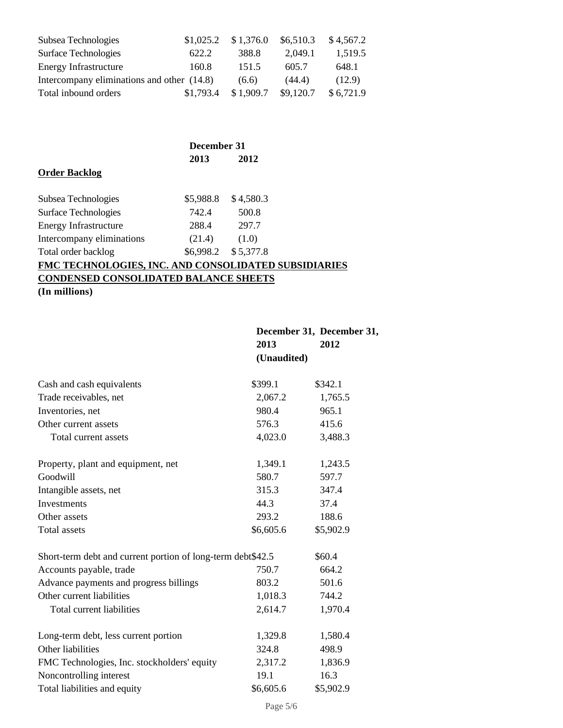| Subsea Technologies                        | \$1,025.2 | \$1,376.0 | \$6,510.3 | \$4,567.2 |
|--------------------------------------------|-----------|-----------|-----------|-----------|
| <b>Surface Technologies</b>                | 622.2     | 388.8     | 2,049.1   | 1,519.5   |
| <b>Energy Infrastructure</b>               | 160.8     | 151.5     | 605.7     | 648.1     |
| Intercompany eliminations and other (14.8) |           | (6.6)     | (44.4)    | (12.9)    |
| Total inbound orders                       | \$1,793.4 | \$1,909.7 | \$9,120.7 | \$6,721.9 |

|                                                             | December 31 |                     |  |
|-------------------------------------------------------------|-------------|---------------------|--|
|                                                             | 2013        | 2012                |  |
| <b>Order Backlog</b>                                        |             |                     |  |
| Subsea Technologies                                         | \$5,988.8   | \$4,580.3           |  |
| <b>Surface Technologies</b>                                 | 742.4       | 500.8               |  |
| <b>Energy Infrastructure</b>                                | 288.4       | 297.7               |  |
| Intercompany eliminations                                   | (21.4)      | (1.0)               |  |
| Total order backlog                                         |             | \$6,998.2 \$5,377.8 |  |
| <b>FMC TECHNOLOGIES, INC. AND CONSOLIDATED SUBSIDIARIES</b> |             |                     |  |
| <b>CONDENSED CONSOLIDATED BALANCE SHEETS</b>                |             |                     |  |
| (In millions)                                               |             |                     |  |

|             | December 31, December 31, |
|-------------|---------------------------|
| 2013        | 2012                      |
| (Unaudited) |                           |

| Cash and cash equivalents                                   | \$399.1   | \$342.1   |
|-------------------------------------------------------------|-----------|-----------|
| Trade receivables, net                                      | 2,067.2   | 1,765.5   |
| Inventories, net                                            | 980.4     | 965.1     |
| Other current assets                                        | 576.3     | 415.6     |
| Total current assets                                        | 4,023.0   | 3,488.3   |
| Property, plant and equipment, net                          | 1,349.1   | 1,243.5   |
| Goodwill                                                    | 580.7     | 597.7     |
| Intangible assets, net                                      | 315.3     | 347.4     |
| Investments                                                 | 44.3      | 37.4      |
| Other assets                                                | 293.2     | 188.6     |
| Total assets                                                | \$6,605.6 | \$5,902.9 |
| Short-term debt and current portion of long-term debt\$42.5 |           | \$60.4    |
| Accounts payable, trade                                     | 750.7     | 664.2     |
| Advance payments and progress billings                      | 803.2     | 501.6     |
| Other current liabilities                                   | 1,018.3   | 744.2     |
| Total current liabilities                                   | 2,614.7   | 1,970.4   |
| Long-term debt, less current portion                        | 1,329.8   | 1,580.4   |
| Other liabilities                                           | 324.8     | 498.9     |
| FMC Technologies, Inc. stockholders' equity                 | 2,317.2   | 1,836.9   |
| Noncontrolling interest                                     | 19.1      | 16.3      |
| Total liabilities and equity                                | \$6,605.6 | \$5,902.9 |